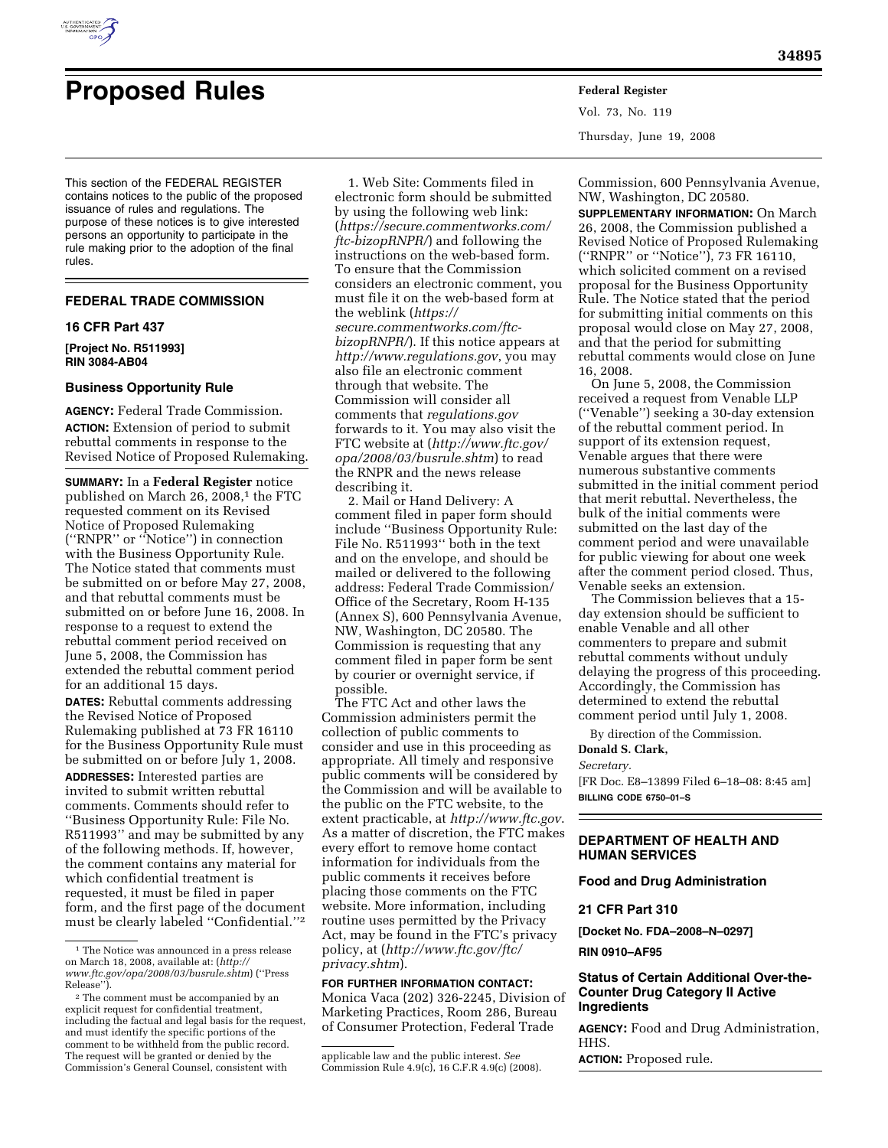

# **Proposed Rules Federal Register**

This section of the FEDERAL REGISTER contains notices to the public of the proposed issuance of rules and regulations. The purpose of these notices is to give interested persons an opportunity to participate in the rule making prior to the adoption of the final rules.

# **FEDERAL TRADE COMMISSION**

#### **16 CFR Part 437**

**[Project No. R511993] RIN 3084-AB04** 

#### **Business Opportunity Rule**

**AGENCY:** Federal Trade Commission. **ACTION:** Extension of period to submit rebuttal comments in response to the Revised Notice of Proposed Rulemaking.

**SUMMARY:** In a **Federal Register** notice published on March 26, 2008,<sup>1</sup> the FTC requested comment on its Revised Notice of Proposed Rulemaking (''RNPR'' or ''Notice'') in connection with the Business Opportunity Rule. The Notice stated that comments must be submitted on or before May 27, 2008, and that rebuttal comments must be submitted on or before June 16, 2008. In response to a request to extend the rebuttal comment period received on June 5, 2008, the Commission has extended the rebuttal comment period for an additional 15 days.

**DATES:** Rebuttal comments addressing the Revised Notice of Proposed Rulemaking published at 73 FR 16110 for the Business Opportunity Rule must be submitted on or before July 1, 2008.

**ADDRESSES:** Interested parties are invited to submit written rebuttal comments. Comments should refer to ''Business Opportunity Rule: File No. R511993'' and may be submitted by any of the following methods. If, however, the comment contains any material for which confidential treatment is requested, it must be filed in paper form, and the first page of the document must be clearly labeled ''Confidential.''2

1. Web Site: Comments filed in electronic form should be submitted by using the following web link: (*https://secure.commentworks.com/ ftc-bizopRNPR/*) and following the instructions on the web-based form. To ensure that the Commission considers an electronic comment, you must file it on the web-based form at the weblink (*https:// secure.commentworks.com/ftcbizopRNPR/*). If this notice appears at *http://www.regulations.gov*, you may also file an electronic comment through that website. The Commission will consider all comments that *regulations.gov*  forwards to it. You may also visit the FTC website at (*http://www.ftc.gov/ opa/2008/03/busrule.shtm*) to read the RNPR and the news release describing it.

2. Mail or Hand Delivery: A comment filed in paper form should include ''Business Opportunity Rule: File No. R511993'' both in the text and on the envelope, and should be mailed or delivered to the following address: Federal Trade Commission/ Office of the Secretary, Room H-135 (Annex S), 600 Pennsylvania Avenue, NW, Washington, DC 20580. The Commission is requesting that any comment filed in paper form be sent by courier or overnight service, if possible.

The FTC Act and other laws the Commission administers permit the collection of public comments to consider and use in this proceeding as appropriate. All timely and responsive public comments will be considered by the Commission and will be available to the public on the FTC website, to the extent practicable, at *http://www.ftc.gov*. As a matter of discretion, the FTC makes every effort to remove home contact information for individuals from the public comments it receives before placing those comments on the FTC website. More information, including routine uses permitted by the Privacy Act, may be found in the FTC's privacy policy, at (*http://www.ftc.gov/ftc/ privacy.shtm*).

**FOR FURTHER INFORMATION CONTACT:**  Monica Vaca (202) 326-2245, Division of Marketing Practices, Room 286, Bureau of Consumer Protection, Federal Trade

Vol. 73, No. 119 Thursday, June 19, 2008

Commission, 600 Pennsylvania Avenue, NW, Washington, DC 20580.

**SUPPLEMENTARY INFORMATION:** On March 26, 2008, the Commission published a Revised Notice of Proposed Rulemaking (''RNPR'' or ''Notice''), 73 FR 16110, which solicited comment on a revised proposal for the Business Opportunity Rule. The Notice stated that the period for submitting initial comments on this proposal would close on May 27, 2008, and that the period for submitting rebuttal comments would close on June 16, 2008.

On June 5, 2008, the Commission received a request from Venable LLP (''Venable'') seeking a 30-day extension of the rebuttal comment period. In support of its extension request, Venable argues that there were numerous substantive comments submitted in the initial comment period that merit rebuttal. Nevertheless, the bulk of the initial comments were submitted on the last day of the comment period and were unavailable for public viewing for about one week after the comment period closed. Thus, Venable seeks an extension.

The Commission believes that a 15 day extension should be sufficient to enable Venable and all other commenters to prepare and submit rebuttal comments without unduly delaying the progress of this proceeding. Accordingly, the Commission has determined to extend the rebuttal comment period until July 1, 2008.

By direction of the Commission.

# **Donald S. Clark,**

# *Secretary.*

[FR Doc. E8–13899 Filed 6–18–08: 8:45 am] **BILLING CODE 6750–01–S** 

# **DEPARTMENT OF HEALTH AND HUMAN SERVICES**

**Food and Drug Administration** 

#### **21 CFR Part 310**

**[Docket No. FDA–2008–N–0297]** 

#### **RIN 0910–AF95**

# **Status of Certain Additional Over-the-Counter Drug Category II Active Ingredients**

**AGENCY:** Food and Drug Administration, HHS.

**ACTION:** Proposed rule.

<sup>1</sup> The Notice was announced in a press release on March 18, 2008, available at: (*http:// www.ftc.gov/opa/2008/03/busrule.shtm*) (''Press Release'').

<sup>2</sup> The comment must be accompanied by an explicit request for confidential treatment, including the factual and legal basis for the request, and must identify the specific portions of the comment to be withheld from the public record. The request will be granted or denied by the Commission's General Counsel, consistent with

applicable law and the public interest. *See*  Commission Rule 4.9(c), 16 C.F.R 4.9(c) (2008).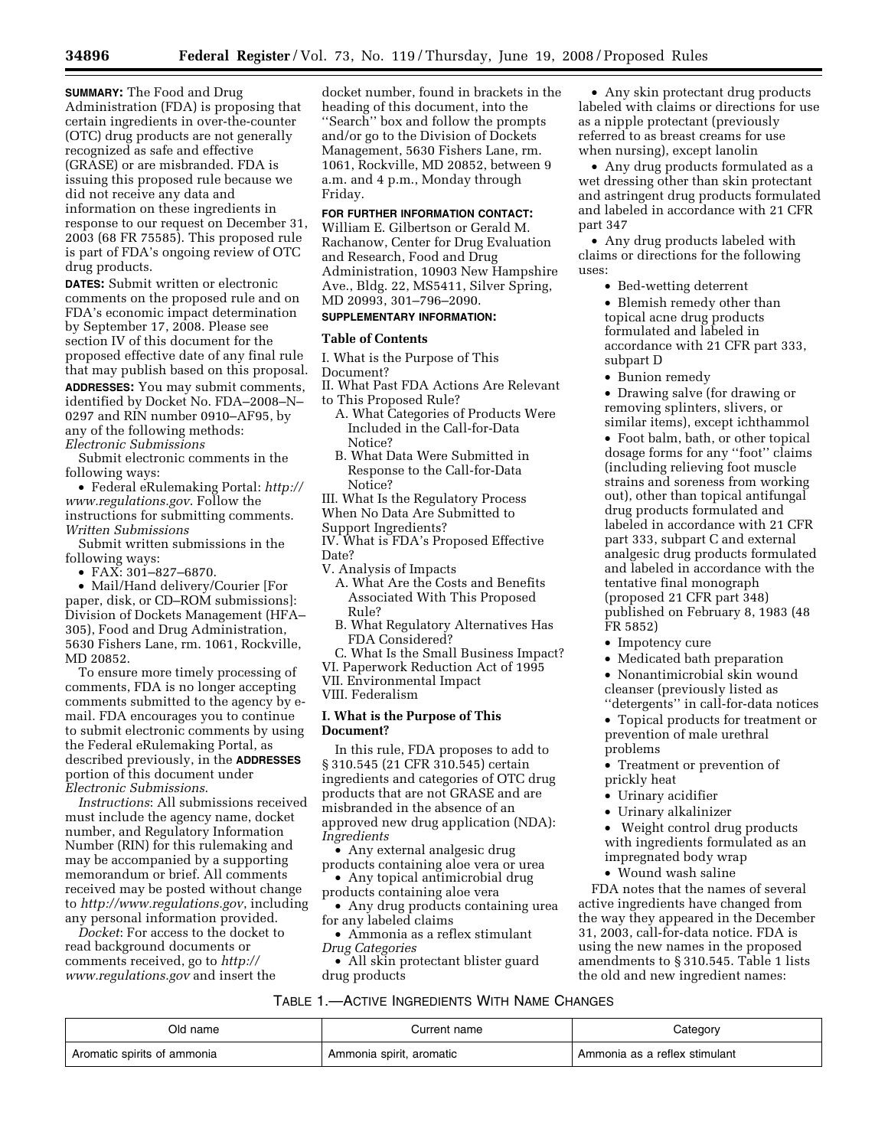**SUMMARY:** The Food and Drug Administration (FDA) is proposing that certain ingredients in over-the-counter (OTC) drug products are not generally recognized as safe and effective (GRASE) or are misbranded. FDA is issuing this proposed rule because we did not receive any data and information on these ingredients in response to our request on December 31, 2003 (68 FR 75585). This proposed rule is part of FDA's ongoing review of OTC drug products.

**DATES:** Submit written or electronic comments on the proposed rule and on FDA's economic impact determination by September 17, 2008. Please see section IV of this document for the proposed effective date of any final rule that may publish based on this proposal. **ADDRESSES:** You may submit comments, identified by Docket No. FDA–2008–N– 0297 and RIN number 0910–AF95, by any of the following methods: *Electronic Submissions* 

Submit electronic comments in the following ways:

• Federal eRulemaking Portal: *http:// www.regulations.gov*. Follow the instructions for submitting comments. *Written Submissions* 

Submit written submissions in the following ways:

• FAX: 301–827–6870.

• Mail/Hand delivery/Courier [For paper, disk, or CD–ROM submissions]: Division of Dockets Management (HFA– 305), Food and Drug Administration, 5630 Fishers Lane, rm. 1061, Rockville, MD 20852.

To ensure more timely processing of comments, FDA is no longer accepting comments submitted to the agency by email. FDA encourages you to continue to submit electronic comments by using the Federal eRulemaking Portal, as described previously, in the **ADDRESSES** portion of this document under *Electronic Submissions*.

*Instructions*: All submissions received must include the agency name, docket number, and Regulatory Information Number (RIN) for this rulemaking and may be accompanied by a supporting memorandum or brief. All comments received may be posted without change to *http://www.regulations.gov*, including any personal information provided.

*Docket*: For access to the docket to read background documents or comments received, go to *http:// www.regulations.gov* and insert the

docket number, found in brackets in the heading of this document, into the ''Search'' box and follow the prompts and/or go to the Division of Dockets Management, 5630 Fishers Lane, rm. 1061, Rockville, MD 20852, between 9 a.m. and 4 p.m., Monday through Friday.

# **FOR FURTHER INFORMATION CONTACT:**

William E. Gilbertson or Gerald M. Rachanow, Center for Drug Evaluation and Research, Food and Drug Administration, 10903 New Hampshire Ave., Bldg. 22, MS5411, Silver Spring, MD 20993, 301–796–2090.

# **SUPPLEMENTARY INFORMATION:**

#### **Table of Contents**

- I. What is the Purpose of This Document?
- II. What Past FDA Actions Are Relevant
- to This Proposed Rule?
	- A. What Categories of Products Were Included in the Call-for-Data Notice?
	- B. What Data Were Submitted in Response to the Call-for-Data Notice?
- III. What Is the Regulatory Process
- When No Data Are Submitted to
- Support Ingredients?

IV. What is FDA's Proposed Effective Date?

- V. Analysis of Impacts
	- A. What Are the Costs and Benefits Associated With This Proposed Rule?
	- B. What Regulatory Alternatives Has FDA Considered?
- C. What Is the Small Business Impact?

VI. Paperwork Reduction Act of 1995

VII. Environmental Impact

VIII. Federalism

# **I. What is the Purpose of This Document?**

In this rule, FDA proposes to add to § 310.545 (21 CFR 310.545) certain ingredients and categories of OTC drug products that are not GRASE and are misbranded in the absence of an approved new drug application (NDA): *Ingredients* 

• Any external analgesic drug

products containing aloe vera or urea • Any topical antimicrobial drug

- products containing aloe vera
- Any drug products containing urea for any labeled claims • Ammonia as a reflex stimulant
- *Drug Categories*

• All skin protectant blister guard drug products

• Any skin protectant drug products labeled with claims or directions for use as a nipple protectant (previously referred to as breast creams for use when nursing), except lanolin

• Any drug products formulated as a wet dressing other than skin protectant and astringent drug products formulated and labeled in accordance with 21 CFR part 347

• Any drug products labeled with claims or directions for the following uses:

- Bed-wetting deterrent
- Blemish remedy other than topical acne drug products formulated and labeled in accordance with 21 CFR part 333, subpart D
- Bunion remedy

• Drawing salve (for drawing or removing splinters, slivers, or similar items), except ichthammol

• Foot balm, bath, or other topical dosage forms for any ''foot'' claims (including relieving foot muscle strains and soreness from working out), other than topical antifungal drug products formulated and labeled in accordance with 21 CFR part 333, subpart C and external analgesic drug products formulated and labeled in accordance with the tentative final monograph (proposed 21 CFR part 348) published on February 8, 1983 (48 FR 5852)

- Impotency cure
- Medicated bath preparation
- Nonantimicrobial skin wound
- cleanser (previously listed as ''detergents'' in call-for-data notices
- Topical products for treatment or prevention of male urethral problems
- Treatment or prevention of prickly heat
- Urinary acidifier
- Urinary alkalinizer
- Weight control drug products with ingredients formulated as an
- impregnated body wrap
- Wound wash saline

FDA notes that the names of several active ingredients have changed from the way they appeared in the December 31, 2003, call-for-data notice. FDA is using the new names in the proposed amendments to § 310.545. Table 1 lists the old and new ingredient names:

TABLE 1.—ACTIVE INGREDIENTS WITH NAME CHANGES

| Old name                    | Current name             | Category                        |
|-----------------------------|--------------------------|---------------------------------|
| Aromatic spirits of ammonia | Ammonia spirit, aromatic | . Ammonia as a reflex stimulant |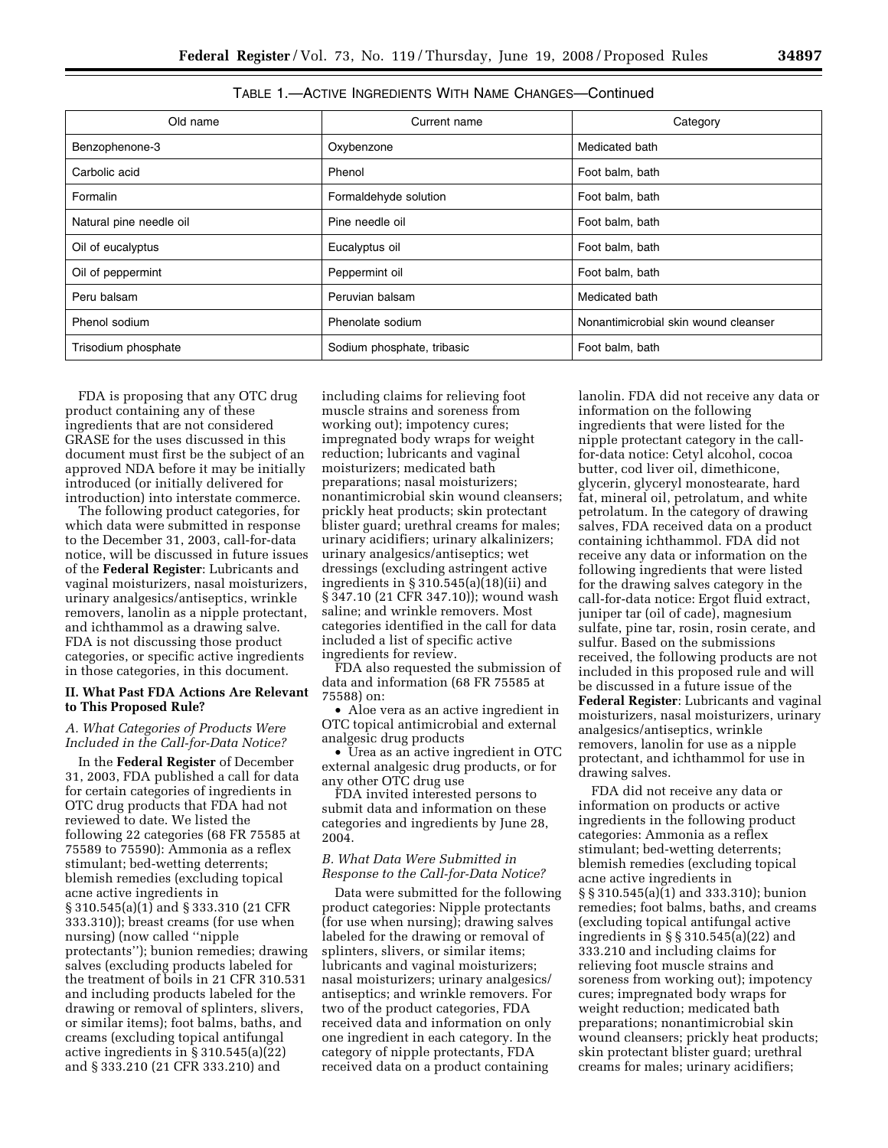| Old name                | Current name               | Category                             |
|-------------------------|----------------------------|--------------------------------------|
| Benzophenone-3          | Oxybenzone                 | Medicated bath                       |
| Carbolic acid           | Phenol                     | Foot balm, bath                      |
| Formalin                | Formaldehyde solution      | Foot balm, bath                      |
| Natural pine needle oil | Pine needle oil            | Foot balm, bath                      |
| Oil of eucalyptus       | Eucalyptus oil             | Foot balm, bath                      |
| Oil of peppermint       | Peppermint oil             | Foot balm, bath                      |
| Peru balsam             | Peruvian balsam            | Medicated bath                       |
| Phenol sodium           | Phenolate sodium           | Nonantimicrobial skin wound cleanser |
| Trisodium phosphate     | Sodium phosphate, tribasic | Foot balm, bath                      |

| TABLE 1.—ACTIVE INGREDIENTS WITH NAME CHANGES—Continued |  |
|---------------------------------------------------------|--|
|---------------------------------------------------------|--|

FDA is proposing that any OTC drug product containing any of these ingredients that are not considered GRASE for the uses discussed in this document must first be the subject of an approved NDA before it may be initially introduced (or initially delivered for introduction) into interstate commerce.

The following product categories, for which data were submitted in response to the December 31, 2003, call-for-data notice, will be discussed in future issues of the **Federal Register**: Lubricants and vaginal moisturizers, nasal moisturizers, urinary analgesics/antiseptics, wrinkle removers, lanolin as a nipple protectant, and ichthammol as a drawing salve. FDA is not discussing those product categories, or specific active ingredients in those categories, in this document.

# **II. What Past FDA Actions Are Relevant to This Proposed Rule?**

*A. What Categories of Products Were Included in the Call-for-Data Notice?* 

In the **Federal Register** of December 31, 2003, FDA published a call for data for certain categories of ingredients in OTC drug products that FDA had not reviewed to date. We listed the following 22 categories (68 FR 75585 at 75589 to 75590): Ammonia as a reflex stimulant; bed-wetting deterrents; blemish remedies (excluding topical acne active ingredients in § 310.545(a)(1) and § 333.310 (21 CFR 333.310)); breast creams (for use when nursing) (now called ''nipple protectants''); bunion remedies; drawing salves (excluding products labeled for the treatment of boils in 21 CFR 310.531 and including products labeled for the drawing or removal of splinters, slivers, or similar items); foot balms, baths, and creams (excluding topical antifungal active ingredients in § 310.545(a)(22) and § 333.210 (21 CFR 333.210) and

including claims for relieving foot muscle strains and soreness from working out); impotency cures; impregnated body wraps for weight reduction; lubricants and vaginal moisturizers; medicated bath preparations; nasal moisturizers; nonantimicrobial skin wound cleansers; prickly heat products; skin protectant blister guard; urethral creams for males; urinary acidifiers; urinary alkalinizers; urinary analgesics/antiseptics; wet dressings (excluding astringent active ingredients in § 310.545(a)(18)(ii) and § 347.10 (21 CFR 347.10)); wound wash saline; and wrinkle removers. Most categories identified in the call for data included a list of specific active ingredients for review.

FDA also requested the submission of data and information (68 FR 75585 at 75588) on:

• Aloe vera as an active ingredient in OTC topical antimicrobial and external analgesic drug products

• Urea as an active ingredient in OTC external analgesic drug products, or for any other OTC drug use

FDA invited interested persons to submit data and information on these categories and ingredients by June 28, 2004.

# *B. What Data Were Submitted in Response to the Call-for-Data Notice?*

Data were submitted for the following product categories: Nipple protectants (for use when nursing); drawing salves labeled for the drawing or removal of splinters, slivers, or similar items; lubricants and vaginal moisturizers; nasal moisturizers; urinary analgesics/ antiseptics; and wrinkle removers. For two of the product categories, FDA received data and information on only one ingredient in each category. In the category of nipple protectants, FDA received data on a product containing

lanolin. FDA did not receive any data or information on the following ingredients that were listed for the nipple protectant category in the callfor-data notice: Cetyl alcohol, cocoa butter, cod liver oil, dimethicone, glycerin, glyceryl monostearate, hard fat, mineral oil, petrolatum, and white petrolatum. In the category of drawing salves, FDA received data on a product containing ichthammol. FDA did not receive any data or information on the following ingredients that were listed for the drawing salves category in the call-for-data notice: Ergot fluid extract, juniper tar (oil of cade), magnesium sulfate, pine tar, rosin, rosin cerate, and sulfur. Based on the submissions received, the following products are not included in this proposed rule and will be discussed in a future issue of the **Federal Register**: Lubricants and vaginal moisturizers, nasal moisturizers, urinary analgesics/antiseptics, wrinkle removers, lanolin for use as a nipple protectant, and ichthammol for use in drawing salves.

FDA did not receive any data or information on products or active ingredients in the following product categories: Ammonia as a reflex stimulant; bed-wetting deterrents; blemish remedies (excluding topical acne active ingredients in § § 310.545(a)(1) and 333.310); bunion remedies; foot balms, baths, and creams (excluding topical antifungal active ingredients in § § 310.545(a)(22) and 333.210 and including claims for relieving foot muscle strains and soreness from working out); impotency cures; impregnated body wraps for weight reduction; medicated bath preparations; nonantimicrobial skin wound cleansers; prickly heat products; skin protectant blister guard; urethral creams for males; urinary acidifiers;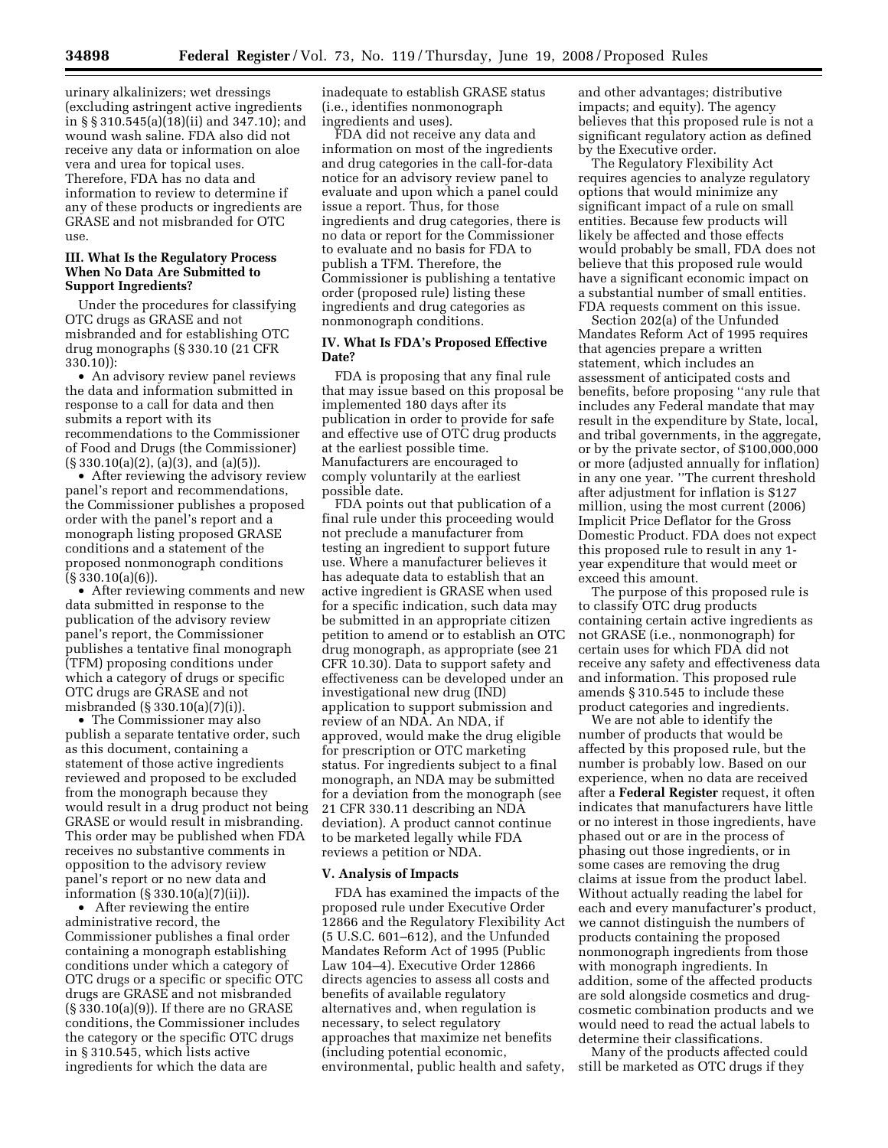urinary alkalinizers; wet dressings (excluding astringent active ingredients in § § 310.545(a)(18)(ii) and 347.10); and wound wash saline. FDA also did not receive any data or information on aloe vera and urea for topical uses. Therefore, FDA has no data and information to review to determine if any of these products or ingredients are GRASE and not misbranded for OTC use.

# **III. What Is the Regulatory Process When No Data Are Submitted to Support Ingredients?**

Under the procedures for classifying OTC drugs as GRASE and not misbranded and for establishing OTC drug monographs (§ 330.10 (21 CFR 330.10)):

• An advisory review panel reviews the data and information submitted in response to a call for data and then submits a report with its recommendations to the Commissioner of Food and Drugs (the Commissioner)  $(\S 330.10(a)(2), (a)(3), and (a)(5)).$ 

• After reviewing the advisory review panel's report and recommendations, the Commissioner publishes a proposed order with the panel's report and a monograph listing proposed GRASE conditions and a statement of the proposed nonmonograph conditions  $(S 330.10(a)(6)).$ 

• After reviewing comments and new data submitted in response to the publication of the advisory review panel's report, the Commissioner publishes a tentative final monograph (TFM) proposing conditions under which a category of drugs or specific OTC drugs are GRASE and not misbranded (§ 330.10(a)(7)(i)).

• The Commissioner may also publish a separate tentative order, such as this document, containing a statement of those active ingredients reviewed and proposed to be excluded from the monograph because they would result in a drug product not being GRASE or would result in misbranding. This order may be published when FDA receives no substantive comments in opposition to the advisory review panel's report or no new data and information (§ 330.10(a)(7)(ii)).

• After reviewing the entire administrative record, the Commissioner publishes a final order containing a monograph establishing conditions under which a category of OTC drugs or a specific or specific OTC drugs are GRASE and not misbranded (§ 330.10(a)(9)). If there are no GRASE conditions, the Commissioner includes the category or the specific OTC drugs in § 310.545, which lists active ingredients for which the data are

inadequate to establish GRASE status (i.e., identifies nonmonograph ingredients and uses).

FDA did not receive any data and information on most of the ingredients and drug categories in the call-for-data notice for an advisory review panel to evaluate and upon which a panel could issue a report. Thus, for those ingredients and drug categories, there is no data or report for the Commissioner to evaluate and no basis for FDA to publish a TFM. Therefore, the Commissioner is publishing a tentative order (proposed rule) listing these ingredients and drug categories as nonmonograph conditions.

# **IV. What Is FDA's Proposed Effective Date?**

FDA is proposing that any final rule that may issue based on this proposal be implemented 180 days after its publication in order to provide for safe and effective use of OTC drug products at the earliest possible time. Manufacturers are encouraged to comply voluntarily at the earliest possible date.

FDA points out that publication of a final rule under this proceeding would not preclude a manufacturer from testing an ingredient to support future use. Where a manufacturer believes it has adequate data to establish that an active ingredient is GRASE when used for a specific indication, such data may be submitted in an appropriate citizen petition to amend or to establish an OTC drug monograph, as appropriate (see 21 CFR 10.30). Data to support safety and effectiveness can be developed under an investigational new drug (IND) application to support submission and review of an NDA. An NDA, if approved, would make the drug eligible for prescription or OTC marketing status. For ingredients subject to a final monograph, an NDA may be submitted for a deviation from the monograph (see 21 CFR 330.11 describing an NDA deviation). A product cannot continue to be marketed legally while FDA reviews a petition or NDA.

# **V. Analysis of Impacts**

FDA has examined the impacts of the proposed rule under Executive Order 12866 and the Regulatory Flexibility Act (5 U.S.C. 601–612), and the Unfunded Mandates Reform Act of 1995 (Public Law 104–4). Executive Order 12866 directs agencies to assess all costs and benefits of available regulatory alternatives and, when regulation is necessary, to select regulatory approaches that maximize net benefits (including potential economic, environmental, public health and safety,

and other advantages; distributive impacts; and equity). The agency believes that this proposed rule is not a significant regulatory action as defined by the Executive order.

The Regulatory Flexibility Act requires agencies to analyze regulatory options that would minimize any significant impact of a rule on small entities. Because few products will likely be affected and those effects would probably be small, FDA does not believe that this proposed rule would have a significant economic impact on a substantial number of small entities. FDA requests comment on this issue.

Section 202(a) of the Unfunded Mandates Reform Act of 1995 requires that agencies prepare a written statement, which includes an assessment of anticipated costs and benefits, before proposing ''any rule that includes any Federal mandate that may result in the expenditure by State, local, and tribal governments, in the aggregate, or by the private sector, of \$100,000,000 or more (adjusted annually for inflation) in any one year. ''The current threshold after adjustment for inflation is \$127 million, using the most current (2006) Implicit Price Deflator for the Gross Domestic Product. FDA does not expect this proposed rule to result in any 1 year expenditure that would meet or exceed this amount.

The purpose of this proposed rule is to classify OTC drug products containing certain active ingredients as not GRASE (i.e., nonmonograph) for certain uses for which FDA did not receive any safety and effectiveness data and information. This proposed rule amends § 310.545 to include these product categories and ingredients.

We are not able to identify the number of products that would be affected by this proposed rule, but the number is probably low. Based on our experience, when no data are received after a **Federal Register** request, it often indicates that manufacturers have little or no interest in those ingredients, have phased out or are in the process of phasing out those ingredients, or in some cases are removing the drug claims at issue from the product label. Without actually reading the label for each and every manufacturer's product, we cannot distinguish the numbers of products containing the proposed nonmonograph ingredients from those with monograph ingredients. In addition, some of the affected products are sold alongside cosmetics and drugcosmetic combination products and we would need to read the actual labels to determine their classifications.

Many of the products affected could still be marketed as OTC drugs if they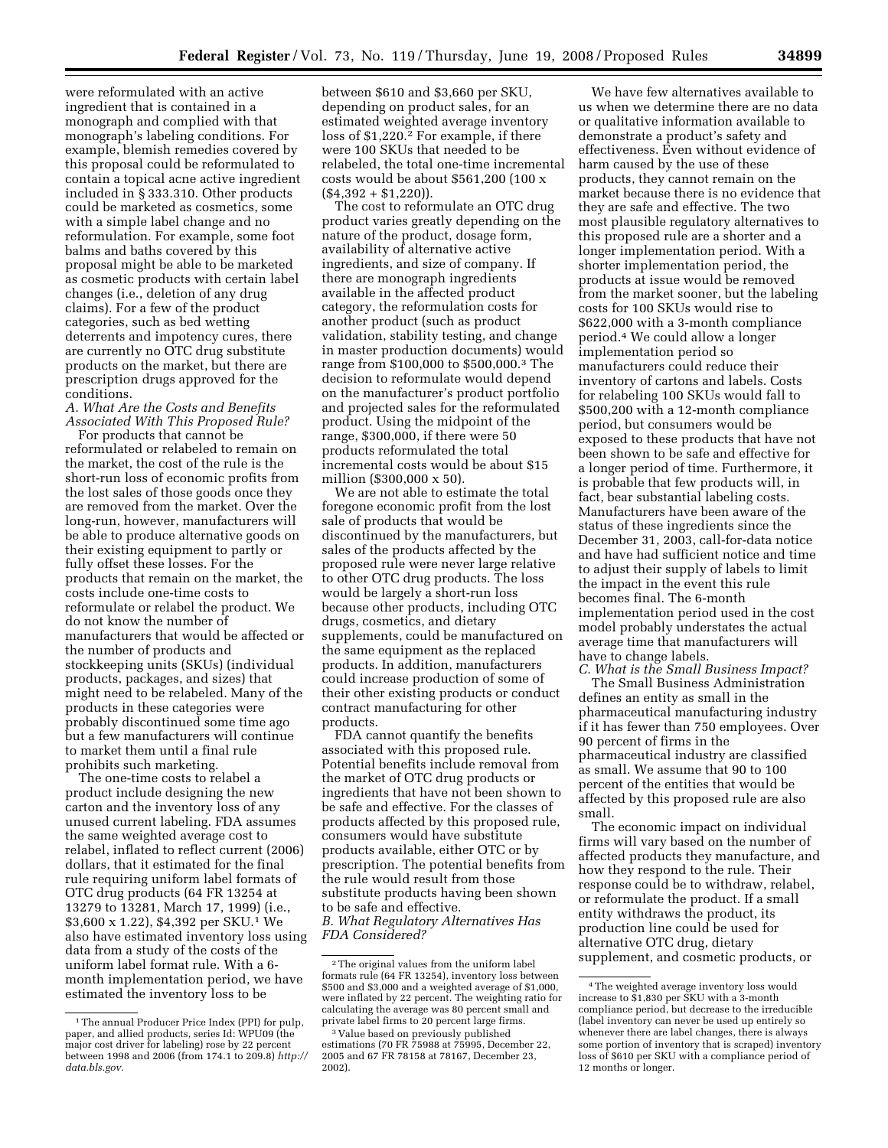were reformulated with an active ingredient that is contained in a monograph and complied with that monograph's labeling conditions. For example, blemish remedies covered by this proposal could be reformulated to contain a topical acne active ingredient included in § 333.310. Other products could be marketed as cosmetics, some with a simple label change and no reformulation. For example, some foot balms and baths covered by this proposal might be able to be marketed as cosmetic products with certain label changes (i.e., deletion of any drug claims). For a few of the product categories, such as bed wetting deterrents and impotency cures, there are currently no OTC drug substitute products on the market, but there are prescription drugs approved for the conditions.

*A. What Are the Costs and Benefits Associated With This Proposed Rule?* 

For products that cannot be reformulated or relabeled to remain on the market, the cost of the rule is the short-run loss of economic profits from the lost sales of those goods once they are removed from the market. Over the long-run, however, manufacturers will be able to produce alternative goods on their existing equipment to partly or fully offset these losses. For the products that remain on the market, the costs include one-time costs to reformulate or relabel the product. We do not know the number of manufacturers that would be affected or the number of products and stockkeeping units (SKUs) (individual products, packages, and sizes) that might need to be relabeled. Many of the products in these categories were probably discontinued some time ago but a few manufacturers will continue to market them until a final rule prohibits such marketing.

The one-time costs to relabel a product include designing the new carton and the inventory loss of any unused current labeling. FDA assumes the same weighted average cost to relabel, inflated to reflect current (2006) dollars, that it estimated for the final rule requiring uniform label formats of OTC drug products (64 FR 13254 at 13279 to 13281, March 17, 1999) (i.e., \$3,600 x 1.22), \$4,392 per SKU.1 We also have estimated inventory loss using data from a study of the costs of the uniform label format rule. With a 6 month implementation period, we have estimated the inventory loss to be

between \$610 and \$3,660 per SKU, depending on product sales, for an estimated weighted average inventory loss of \$1,220.2 For example, if there were 100 SKUs that needed to be relabeled, the total one-time incremental costs would be about \$561,200 (100 x  $($4,392 + $1,220)$ .

The cost to reformulate an OTC drug product varies greatly depending on the nature of the product, dosage form, availability of alternative active ingredients, and size of company. If there are monograph ingredients available in the affected product category, the reformulation costs for another product (such as product validation, stability testing, and change in master production documents) would range from \$100,000 to \$500,000.3 The decision to reformulate would depend on the manufacturer's product portfolio and projected sales for the reformulated product. Using the midpoint of the range, \$300,000, if there were 50 products reformulated the total incremental costs would be about \$15 million (\$300,000 x 50).

We are not able to estimate the total foregone economic profit from the lost sale of products that would be discontinued by the manufacturers, but sales of the products affected by the proposed rule were never large relative to other OTC drug products. The loss would be largely a short-run loss because other products, including OTC drugs, cosmetics, and dietary supplements, could be manufactured on the same equipment as the replaced products. In addition, manufacturers could increase production of some of their other existing products or conduct contract manufacturing for other products.

FDA cannot quantify the benefits associated with this proposed rule. Potential benefits include removal from the market of OTC drug products or ingredients that have not been shown to be safe and effective. For the classes of products affected by this proposed rule, consumers would have substitute products available, either OTC or by prescription. The potential benefits from the rule would result from those substitute products having been shown to be safe and effective. *B. What Regulatory Alternatives Has FDA Considered?* 

We have few alternatives available to us when we determine there are no data or qualitative information available to demonstrate a product's safety and effectiveness. Even without evidence of harm caused by the use of these products, they cannot remain on the market because there is no evidence that they are safe and effective. The two most plausible regulatory alternatives to this proposed rule are a shorter and a longer implementation period. With a shorter implementation period, the products at issue would be removed from the market sooner, but the labeling costs for 100 SKUs would rise to \$622,000 with a 3-month compliance period.4 We could allow a longer implementation period so manufacturers could reduce their inventory of cartons and labels. Costs for relabeling 100 SKUs would fall to \$500,200 with a 12-month compliance period, but consumers would be exposed to these products that have not been shown to be safe and effective for a longer period of time. Furthermore, it is probable that few products will, in fact, bear substantial labeling costs. Manufacturers have been aware of the status of these ingredients since the December 31, 2003, call-for-data notice and have had sufficient notice and time to adjust their supply of labels to limit the impact in the event this rule becomes final. The 6-month implementation period used in the cost model probably understates the actual average time that manufacturers will have to change labels.

*C. What is the Small Business Impact?*  The Small Business Administration defines an entity as small in the pharmaceutical manufacturing industry if it has fewer than 750 employees. Over 90 percent of firms in the pharmaceutical industry are classified as small. We assume that 90 to 100 percent of the entities that would be affected by this proposed rule are also small.

The economic impact on individual firms will vary based on the number of affected products they manufacture, and how they respond to the rule. Their response could be to withdraw, relabel, or reformulate the product. If a small entity withdraws the product, its production line could be used for alternative OTC drug, dietary supplement, and cosmetic products, or

<sup>&</sup>lt;sup>1</sup>The annual Producer Price Index (PPI) for pulp, paper, and allied products, series Id: WPU09 (the major cost driver for labeling) rose by 22 percent between 1998 and 2006 (from 174.1 to 209.8) *http:// data.bls.gov*.

<sup>2</sup>The original values from the uniform label formats rule (64 FR 13254), inventory loss between \$500 and \$3,000 and a weighted average of \$1,000, were inflated by 22 percent. The weighting ratio for calculating the average was 80 percent small and<br>private label firms to 20 percent large firms.

<sup>&</sup>lt;sup>3</sup> Value based on previously published estimations (70 FR  $75988$  at  $75995$ , December 22, 2005 and 67 FR 78158 at 78167, December 23, 2002).

<sup>4</sup>The weighted average inventory loss would increase to \$1,830 per SKU with a 3-month compliance period, but decrease to the irreducible (label inventory can never be used up entirely so whenever there are label changes, there is always some portion of inventory that is scraped) inventory loss of \$610 per SKU with a compliance period of 12 months or longer.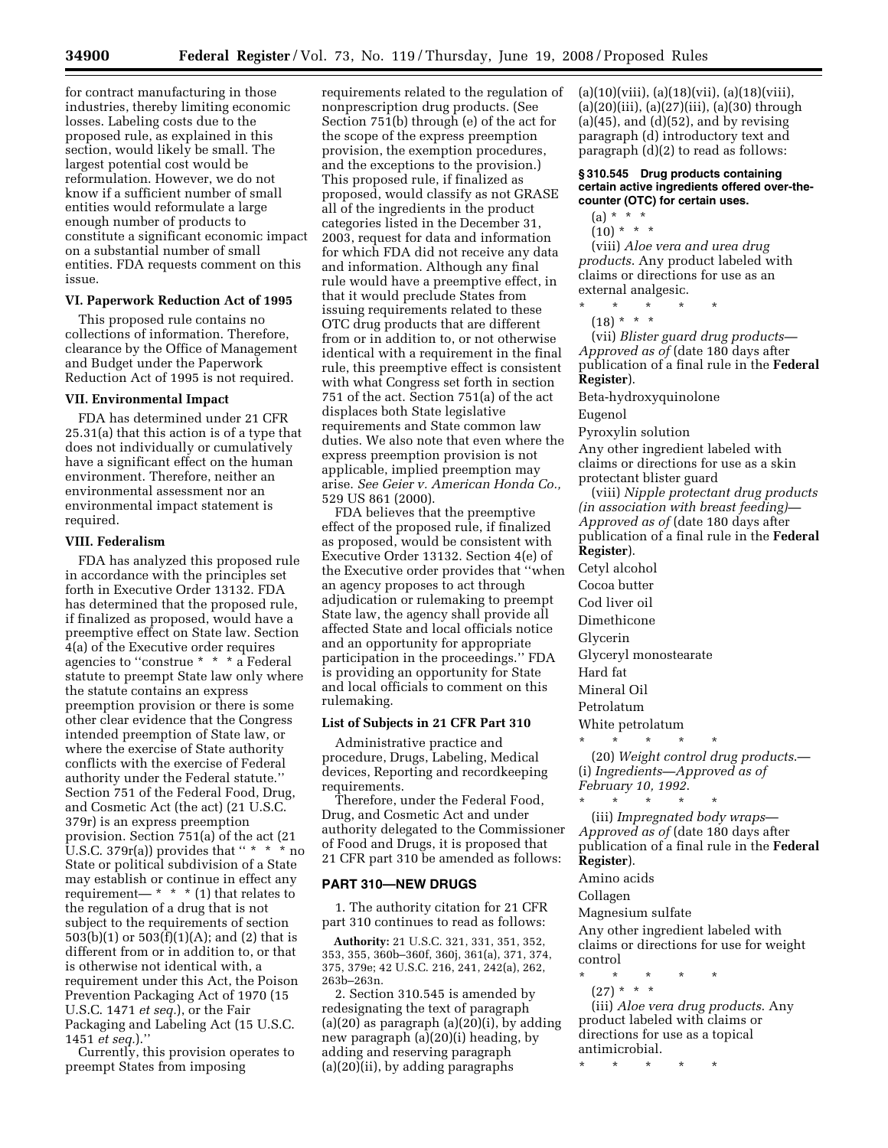for contract manufacturing in those industries, thereby limiting economic losses. Labeling costs due to the proposed rule, as explained in this section, would likely be small. The largest potential cost would be reformulation. However, we do not know if a sufficient number of small entities would reformulate a large enough number of products to constitute a significant economic impact on a substantial number of small entities. FDA requests comment on this issue.

# **VI. Paperwork Reduction Act of 1995**

This proposed rule contains no collections of information. Therefore, clearance by the Office of Management and Budget under the Paperwork Reduction Act of 1995 is not required.

#### **VII. Environmental Impact**

FDA has determined under 21 CFR 25.31(a) that this action is of a type that does not individually or cumulatively have a significant effect on the human environment. Therefore, neither an environmental assessment nor an environmental impact statement is required.

#### **VIII. Federalism**

FDA has analyzed this proposed rule in accordance with the principles set forth in Executive Order 13132. FDA has determined that the proposed rule, if finalized as proposed, would have a preemptive effect on State law. Section 4(a) of the Executive order requires agencies to ''construe \* \* \* a Federal statute to preempt State law only where the statute contains an express preemption provision or there is some other clear evidence that the Congress intended preemption of State law, or where the exercise of State authority conflicts with the exercise of Federal authority under the Federal statute.'' Section 751 of the Federal Food, Drug, and Cosmetic Act (the act) (21 U.S.C. 379r) is an express preemption provision. Section 751(a) of the act (21 U.S.C. 379 $r(a)$ ) provides that " \* \* \* no State or political subdivision of a State may establish or continue in effect any requirement— \* \* \*  $(1)$  that relates to the regulation of a drug that is not subject to the requirements of section 503(b)(1) or 503(f)(1)(A); and (2) that is different from or in addition to, or that is otherwise not identical with, a requirement under this Act, the Poison Prevention Packaging Act of 1970 (15 U.S.C. 1471 *et seq.*), or the Fair Packaging and Labeling Act (15 U.S.C. 1451 *et seq.*).''

Currently, this provision operates to preempt States from imposing

requirements related to the regulation of nonprescription drug products. (See Section 751(b) through (e) of the act for the scope of the express preemption provision, the exemption procedures, and the exceptions to the provision.) This proposed rule, if finalized as proposed, would classify as not GRASE all of the ingredients in the product categories listed in the December 31, 2003, request for data and information for which FDA did not receive any data and information. Although any final rule would have a preemptive effect, in that it would preclude States from issuing requirements related to these OTC drug products that are different from or in addition to, or not otherwise identical with a requirement in the final rule, this preemptive effect is consistent with what Congress set forth in section 751 of the act. Section 751(a) of the act displaces both State legislative requirements and State common law duties. We also note that even where the express preemption provision is not applicable, implied preemption may arise. *See Geier v. American Honda Co.,*  529 US 861 (2000).

FDA believes that the preemptive effect of the proposed rule, if finalized as proposed, would be consistent with Executive Order 13132. Section 4(e) of the Executive order provides that ''when an agency proposes to act through adjudication or rulemaking to preempt State law, the agency shall provide all affected State and local officials notice and an opportunity for appropriate participation in the proceedings.'' FDA is providing an opportunity for State and local officials to comment on this rulemaking.

# **List of Subjects in 21 CFR Part 310**

Administrative practice and procedure, Drugs, Labeling, Medical devices, Reporting and recordkeeping requirements.

Therefore, under the Federal Food, Drug, and Cosmetic Act and under authority delegated to the Commissioner of Food and Drugs, it is proposed that 21 CFR part 310 be amended as follows:

# **PART 310—NEW DRUGS**

1. The authority citation for 21 CFR part 310 continues to read as follows:

**Authority:** 21 U.S.C. 321, 331, 351, 352, 353, 355, 360b–360f, 360j, 361(a), 371, 374, 375, 379e; 42 U.S.C. 216, 241, 242(a), 262, 263b–263n.

2. Section 310.545 is amended by redesignating the text of paragraph  $(a)(20)$  as paragraph  $(a)(20)(i)$ , by adding new paragraph (a)(20)(i) heading, by adding and reserving paragraph (a)(20)(ii), by adding paragraphs

 $(a)(10)(viii), (a)(18)(vii), (a)(18)(viii),$ (a)(20)(iii), (a)(27)(iii), (a)(30) through  $(a)(45)$ , and  $(d)(52)$ , and by revising paragraph (d) introductory text and paragraph (d)(2) to read as follows:

**§ 310.545 Drug products containing certain active ingredients offered over-thecounter (OTC) for certain uses.** 

(a) \* \* \*

 $(10) * * * *$ 

(viii) *Aloe vera and urea drug products*. Any product labeled with claims or directions for use as an external analgesic.

- \* \* \* \* \*
	- (18) \* \* \*

(vii) *Blister guard drug products— Approved as of* (date 180 days after publication of a final rule in the **Federal Register**).

Beta-hydroxyquinolone

Eugenol

Pyroxylin solution

Any other ingredient labeled with claims or directions for use as a skin protectant blister guard

(viii) *Nipple protectant drug products (in association with breast feeding)— Approved as of* (date 180 days after publication of a final rule in the **Federal Register**).

Cetyl alcohol

- Cocoa butter
- Cod liver oil
- Dimethicone
- Glycerin
- Glyceryl monostearate
- Hard fat
- Mineral Oil
- Petrolatum

White petrolatum \* \* \* \* \*

(20) *Weight control drug products*.— (i) *Ingredients—Approved as of February 10, 1992*. \* \* \* \* \*

(iii) *Impregnated body wraps*— *Approved as of* (date 180 days after publication of a final rule in the **Federal Register**).

Amino acids

Collagen

Magnesium sulfate

Any other ingredient labeled with claims or directions for use for weight control

- \* \* \* \* \*
- (27) \* \* \*

(iii) *Aloe vera drug products*. Any product labeled with claims or directions for use as a topical antimicrobial.

\* \* \* \* \*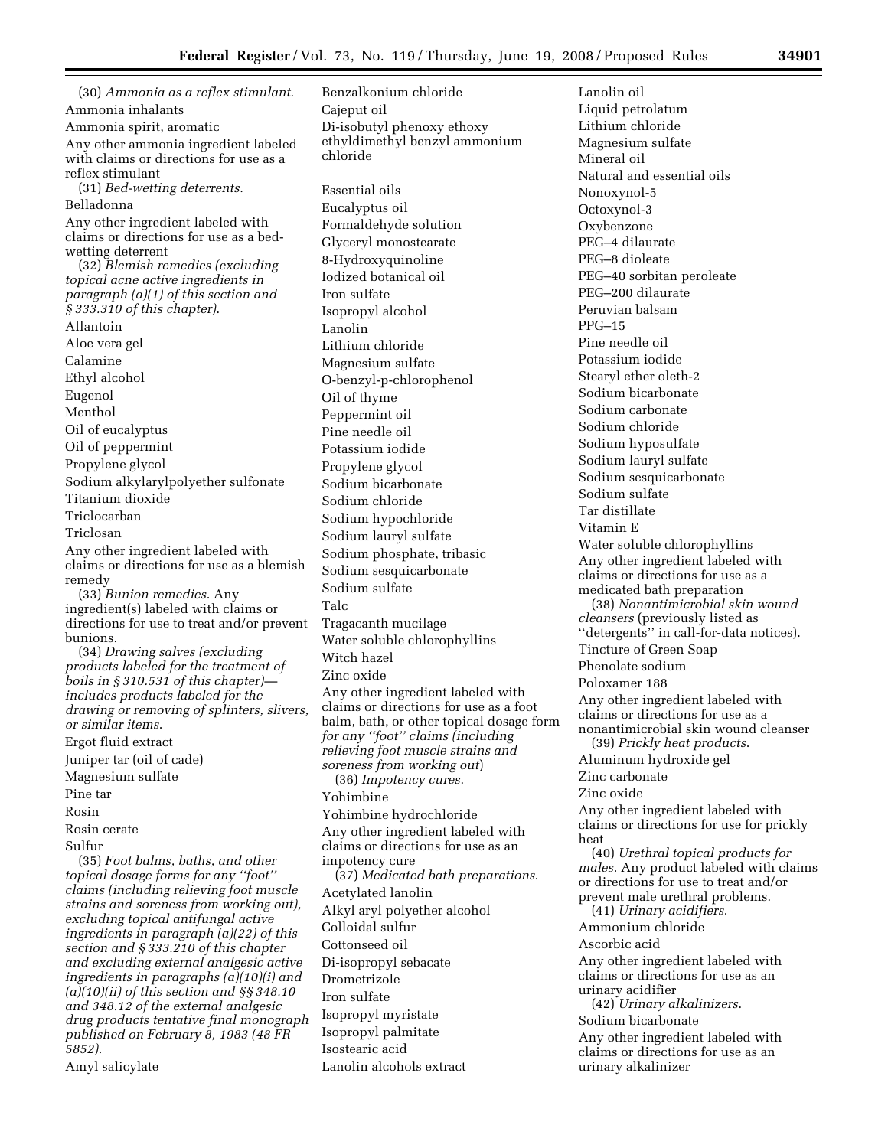(30) *Ammonia as a reflex stimulant*. Ammonia inhalants Ammonia spirit, aromatic Any other ammonia ingredient labeled with claims or directions for use as a reflex stimulant (31) *Bed-wetting deterrents*. Belladonna Any other ingredient labeled with claims or directions for use as a bedwetting deterrent (32) *Blemish remedies (excluding topical acne active ingredients in paragraph (a)(1) of this section and § 333.310 of this chapter)*. Allantoin Aloe vera gel Calamine Ethyl alcohol Eugenol Menthol Oil of eucalyptus Oil of peppermint Propylene glycol Sodium alkylarylpolyether sulfonate Titanium dioxide Triclocarban Triclosan Any other ingredient labeled with claims or directions for use as a blemish remedy (33) *Bunion remedies*. Any ingredient(s) labeled with claims or directions for use to treat and/or prevent bunions. (34) *Drawing salves (excluding products labeled for the treatment of boils in § 310.531 of this chapter) includes products labeled for the drawing or removing of splinters, slivers, or similar items*. Ergot fluid extract Juniper tar (oil of cade) Magnesium sulfate Pine tar Rosin Rosin cerate Sulfur (35) *Foot balms, baths, and other topical dosage forms for any ''foot'' claims (including relieving foot muscle strains and soreness from working out), excluding topical antifungal active ingredients in paragraph (a)(22) of this section and § 333.210 of this chapter and excluding external analgesic active* 

*ingredients in paragraphs (a)(10)(i) and (a)(10)(ii) of this section and §§ 348.10 and 348.12 of the external analgesic drug products tentative final monograph published on February 8, 1983 (48 FR 5852)*.

Amyl salicylate

Benzalkonium chloride Cajeput oil Di-isobutyl phenoxy ethoxy ethyldimethyl benzyl ammonium chloride Essential oils Eucalyptus oil Formaldehyde solution Glyceryl monostearate 8-Hydroxyquinoline Iodized botanical oil Iron sulfate Isopropyl alcohol Lanolin Lithium chloride Magnesium sulfate O-benzyl-p-chlorophenol Oil of thyme Peppermint oil Pine needle oil Potassium iodide Propylene glycol Sodium bicarbonate Sodium chloride Sodium hypochloride Sodium lauryl sulfate Sodium phosphate, tribasic Sodium sesquicarbonate Sodium sulfate Talc Tragacanth mucilage Water soluble chlorophyllins Witch hazel Zinc oxide Any other ingredient labeled with claims or directions for use as a foot balm, bath, or other topical dosage form *for any ''foot'' claims (including relieving foot muscle strains and soreness from working out*) (36) *Impotency cures*. Yohimbine Yohimbine hydrochloride Any other ingredient labeled with claims or directions for use as an impotency cure (37) *Medicated bath preparations*. Acetylated lanolin Alkyl aryl polyether alcohol Colloidal sulfur Cottonseed oil Di-isopropyl sebacate Drometrizole Iron sulfate Isopropyl myristate Isopropyl palmitate Isostearic acid Lanolin alcohols extract

Lanolin oil Liquid petrolatum Lithium chloride Magnesium sulfate Mineral oil Natural and essential oils Nonoxynol-5 Octoxynol-3 Oxybenzone PEG–4 dilaurate PEG–8 dioleate PEG–40 sorbitan peroleate PEG–200 dilaurate Peruvian balsam PPG–15 Pine needle oil Potassium iodide Stearyl ether oleth-2 Sodium bicarbonate Sodium carbonate Sodium chloride Sodium hyposulfate Sodium lauryl sulfate Sodium sesquicarbonate Sodium sulfate Tar distillate Vitamin E Water soluble chlorophyllins Any other ingredient labeled with claims or directions for use as a medicated bath preparation (38) *Nonantimicrobial skin wound cleansers* (previously listed as ''detergents'' in call-for-data notices). Tincture of Green Soap Phenolate sodium Poloxamer 188 Any other ingredient labeled with claims or directions for use as a nonantimicrobial skin wound cleanser (39) *Prickly heat products*. Aluminum hydroxide gel Zinc carbonate Zinc oxide Any other ingredient labeled with claims or directions for use for prickly heat (40) *Urethral topical products for males*. Any product labeled with claims or directions for use to treat and/or prevent male urethral problems. (41) *Urinary acidifiers*. Ammonium chloride Ascorbic acid Any other ingredient labeled with claims or directions for use as an urinary acidifier (42) *Urinary alkalinizers*. Sodium bicarbonate Any other ingredient labeled with claims or directions for use as an urinary alkalinizer